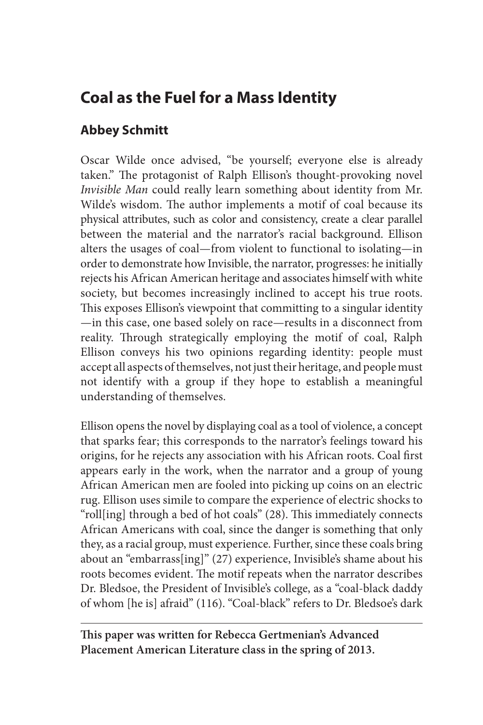# **Coal as the Fuel for a Mass Identity**

## **Abbey Schmitt**

Oscar Wilde once advised, "be yourself; everyone else is already taken." The protagonist of Ralph Ellison's thought-provoking novel *Invisible Man* could really learn something about identity from Mr. Wilde's wisdom. The author implements a motif of coal because its physical attributes, such as color and consistency, create a clear parallel between the material and the narrator's racial background. Ellison alters the usages of coal—from violent to functional to isolating—in order to demonstrate how Invisible, the narrator, progresses: he initially rejects his African American heritage and associates himself with white society, but becomes increasingly inclined to accept his true roots. This exposes Ellison's viewpoint that committing to a singular identity —in this case, one based solely on race—results in a disconnect from reality. Through strategically employing the motif of coal, Ralph Ellison conveys his two opinions regarding identity: people must accept all aspects of themselves, not just their heritage, and people must not identify with a group if they hope to establish a meaningful understanding of themselves.

Ellison opens the novel by displaying coal as a tool of violence, a concept that sparks fear; this corresponds to the narrator's feelings toward his origins, for he rejects any association with his African roots. Coal first appears early in the work, when the narrator and a group of young African American men are fooled into picking up coins on an electric rug. Ellison uses simile to compare the experience of electric shocks to "roll[ing] through a bed of hot coals" (28). This immediately connects African Americans with coal, since the danger is something that only they, as a racial group, must experience. Further, since these coals bring about an "embarrass[ing]" (27) experience, Invisible's shame about his roots becomes evident. The motif repeats when the narrator describes Dr. Bledsoe, the President of Invisible's college, as a "coal-black daddy of whom [he is] afraid" (116). "Coal-black" refers to Dr. Bledsoe's dark

**This paper was written for Rebecca Gertmenian's Advanced Placement American Literature class in the spring of 2013.**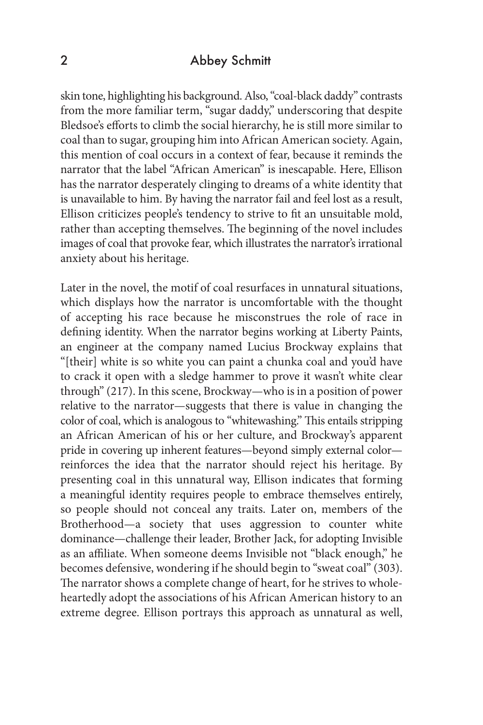### 2 Abbey Schmitt

skin tone, highlighting his background. Also, "coal-black daddy" contrasts from the more familiar term, "sugar daddy," underscoring that despite Bledsoe's efforts to climb the social hierarchy, he is still more similar to coal than to sugar, grouping him into African American society. Again, this mention of coal occurs in a context of fear, because it reminds the narrator that the label "African American" is inescapable. Here, Ellison has the narrator desperately clinging to dreams of a white identity that is unavailable to him. By having the narrator fail and feel lost as a result, Ellison criticizes people's tendency to strive to fit an unsuitable mold, rather than accepting themselves. The beginning of the novel includes images of coal that provoke fear, which illustrates the narrator's irrational anxiety about his heritage.

Later in the novel, the motif of coal resurfaces in unnatural situations, which displays how the narrator is uncomfortable with the thought of accepting his race because he misconstrues the role of race in defining identity. When the narrator begins working at Liberty Paints, an engineer at the company named Lucius Brockway explains that "[their] white is so white you can paint a chunka coal and you'd have to crack it open with a sledge hammer to prove it wasn't white clear through" (217). In this scene, Brockway—who is in a position of power relative to the narrator—suggests that there is value in changing the color of coal, which is analogous to "whitewashing." This entails stripping an African American of his or her culture, and Brockway's apparent pride in covering up inherent features—beyond simply external color reinforces the idea that the narrator should reject his heritage. By presenting coal in this unnatural way, Ellison indicates that forming a meaningful identity requires people to embrace themselves entirely, so people should not conceal any traits. Later on, members of the Brotherhood—a society that uses aggression to counter white dominance—challenge their leader, Brother Jack, for adopting Invisible as an affiliate. When someone deems Invisible not "black enough," he becomes defensive, wondering if he should begin to "sweat coal" (303). The narrator shows a complete change of heart, for he strives to wholeheartedly adopt the associations of his African American history to an extreme degree. Ellison portrays this approach as unnatural as well,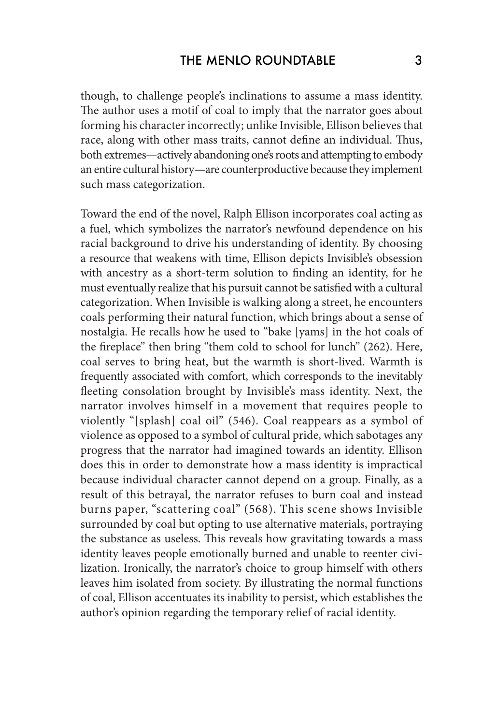though, to challenge people's inclinations to assume a mass identity. The author uses a motif of coal to imply that the narrator goes about forming his character incorrectly; unlike Invisible, Ellison believes that race, along with other mass traits, cannot define an individual. Thus, both extremes—actively abandoning one's roots and attempting to embody an entire cultural history—are counterproductive because they implement such mass categorization.

Toward the end of the novel, Ralph Ellison incorporates coal acting as a fuel, which symbolizes the narrator's newfound dependence on his racial background to drive his understanding of identity. By choosing a resource that weakens with time, Ellison depicts Invisible's obsession with ancestry as a short-term solution to finding an identity, for he must eventually realize that his pursuit cannot be satisfied with a cultural categorization. When Invisible is walking along a street, he encounters coals performing their natural function, which brings about a sense of nostalgia. He recalls how he used to "bake [yams] in the hot coals of the fireplace" then bring "them cold to school for lunch" (262). Here, coal serves to bring heat, but the warmth is short-lived. Warmth is frequently associated with comfort, which corresponds to the inevitably fleeting consolation brought by Invisible's mass identity. Next, the narrator involves himself in a movement that requires people to violently "[splash] coal oil" (546). Coal reappears as a symbol of violence as opposed to a symbol of cultural pride, which sabotages any progress that the narrator had imagined towards an identity. Ellison does this in order to demonstrate how a mass identity is impractical because individual character cannot depend on a group. Finally, as a result of this betrayal, the narrator refuses to burn coal and instead burns paper, "scattering coal" (568). This scene shows Invisible surrounded by coal but opting to use alternative materials, portraying the substance as useless. This reveals how gravitating towards a mass identity leaves people emotionally burned and unable to reenter civilization. Ironically, the narrator's choice to group himself with others leaves him isolated from society. By illustrating the normal functions of coal, Ellison accentuates its inability to persist, which establishes the author's opinion regarding the temporary relief of racial identity.